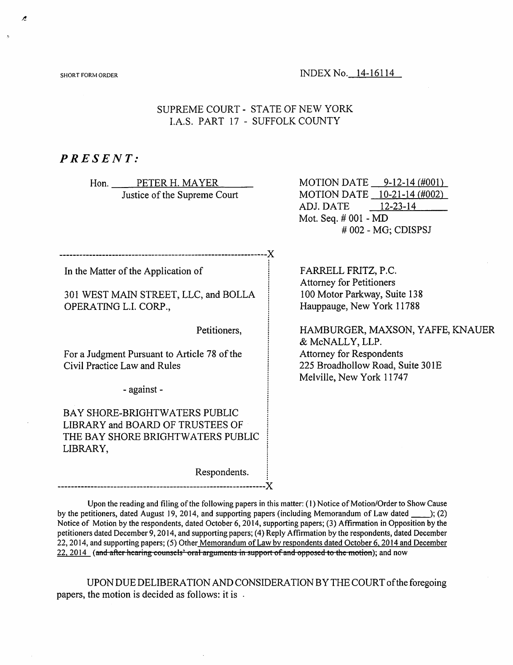SHORT FORM ORDER **INDEX** No. 14-16114

## SUPREME COURT STATE OF NEW YORK l.A.S. PART 17 SUFFOLK COUNTY

## PRESENT:

Hon. PETER H. MAYER Justice of the Supreme Court

-X

In the Matter of the Application of

301 WEST MAIN STREET, LLC, and BOLLA OPERATING L.l. CORP.,

Petitioners,

For a Judgment Pursuant to Article 78 of the Civil Practice Law and Rules

- against -

BAY SHORE-BRIGHTWATERS PUBLIC LIBRARY and BOARD OF TRUSTEES OF THE BAY SHORE BRIGHTWATERS PUBLIC LIBRARY,

Respondents.

MOTION DATE 9-12-14 r#oon MOTION DATE <u>\_\_10-21-14 (#002)</u> ADJ. DATE Mot. Seq. # 001 - MD # 002 - MG: CDISPSJ  $12-23-14$ 

FARRELL FRITZ, P.C. Attorney for Petitioners 100 Motor Parkway, Suite 138 Hauppauge, New York 11788

HAMBURGER, MAXSON, YAFFE, KNAUER & McNALLY, LLP. Attorney for Respondents 225 Broadhollow Road, Suite 30IE Melville, New York 11747

Upon the reading and filing of the following papers in this matter: (1) Notice of Motion/Order to Show Cause by the petitioners, dated August 19, 2014, and supporting papers (including Memorandum of Law dated \_\_\_\_); (2) Notice of Motion by the respondents, dated October 6,2014, supporting papers; (3) Affirmation in Opposition by the petitioners dated December 9,2014, and supporting papers; (4) Reply Affirmation by the respondents, dated December 22,2014, and supporting papers; (5) Other Memorandum ofLaw by respondents dated October 6.2014 and December 22, 2014 (and after hearing counsels' oral arguments in support of and opposed to the motion); and now

-X

UPON DUE DELIBERATION AND CONSIDERATION BY THE COURTofthe foregoing papers, the motion is decided as follows: it is .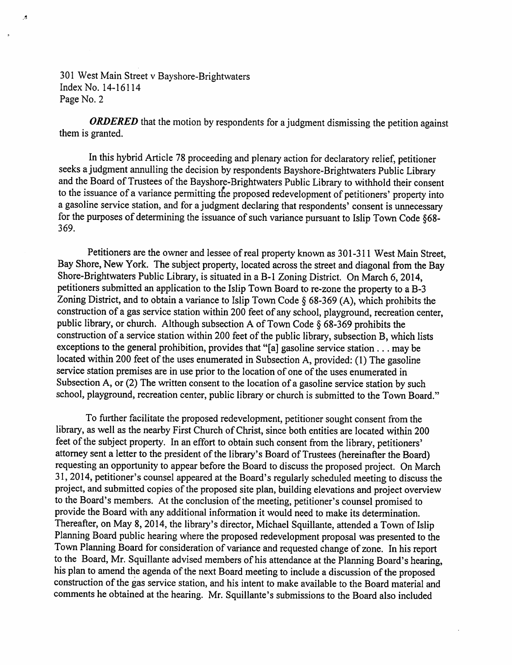A

ORDERED that the motion by respondents for a judgment dismissing the petition against them is granted.

In this hybrid Article 78 proceeding and plenary action for declaratory relief, petitioner seeks a judgment annulling the decision by respondents Bayshore-Brightwaters Public Library and the Board of Trustees of the Bayshore-Brightwaters Public Library to withhold their consent to the issuance of a variance permitting the proposed redevelopment of petitioners' property into a gasoline service station, and for a judgment declaring that respondents' consent is unnecessary for the purposes of determining the issuance of such variance pursuant to Islip Town Code §68-369.

Petitioners are the owner and lessee of real property known as 301-311 West Main Street. Bay Shore, NewYork. The subject property, located across the street and diagonal from the Bay Shore-Brightwaters Public Library, is situated in a B-1 Zoning District. On March 6, 2014, petitioners submitted an application to the Islip Town Board to re-zone the property to a B-3 Zoning District, and to obtain a variance to Islip Town Code  $\S$  68-369 (A), which prohibits the construction of a gas service station within 200 feet of any school, playground, recreation center, public library, or church. Although subsection A of Town Code § 68-369 prohibits the construction of a service station within 200 feet of the public library, subsection B, which lists exceptions to the general prohibition, provides that "[a] gasoline service station . . . may be located within 200 feet of the uses enumerated in Subsection A, provided: (1) The gasoline service station premises are in use prior to the location of one of the uses enumerated in Subsection A, or (2) The written consent to the location of a gasoline service station by such school, playground, recreation center, public library or church is submitted to the Town Board."

To further facilitate the proposed redevelopment, petitioner sought consent from the library, as well as the nearby First Church of Christ, since both entities are located within 200 feet of the subject property. In an effort to obtain such consent from the library, petitioners' attorney sent a letter to the president of the library's Board of Trustees (hereinafter the Board) requesting an opportunity to appear before the Board to discuss the proposed project. On March 31, 2014, petitioner's counsel appeared at the Board'sregularly scheduled meeting to discuss the project, and submitted copies of the proposed site plan, building elevations and project overview to the Board's members. At the conclusion of the meeting, petitioner's counsel promised to provide the Board with any additional information it would need to make its determination. Thereafter, on May 8, 2014, the library's director, Michael Squillante, attended a Town of Islip Planning Board public hearing where the proposed redevelopment proposal was presented to the Town Planning Board for consideration of variance and requested change of zone. In his report to the Board, Mr. Squillante advised members of his attendance at the Planning Board's hearing, his plan to amend the agenda of the next Board meeting to include a discussion of the proposed construction of the gas service station, and his intent to make available to the Board material and commentshe obtained at the hearing. Mr. Squillante's submissions to the Board also included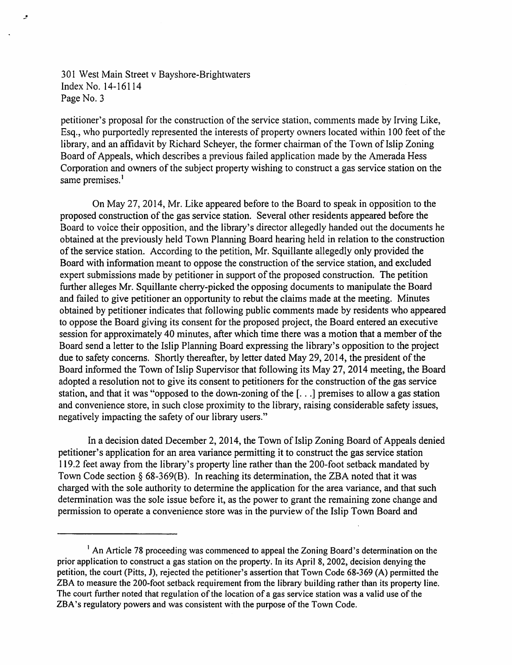$\cdot$ 

petitioner's proposal for the construction of the service station, comments made by Irving Like, Esq., who purportedly represented the interests of property owners located within 100 feet of the library, and an affidavit by Richard Scheyer, the former chairman of the Town of Islip Zoning Board of Appeals, which describes a previous failed application made by the Amerada Hess Corporation and owners of the subject property wishing to construct a gas service station on the same premises.<sup>1</sup>

On May 27, 2014, Mr. Like appeared before to the Board to speak in opposition to the proposed construction of the gas service station. Several other residents appeared before the Board to voice their opposition, and the library's director allegedly handed out the documents he obtained at the previously held Town Planning Board hearing held in relation to the construction ofthe service station. According to the petition, Mr. Squillante allegedly only provided the Board with information meant to oppose the construction of the service station, and excluded expert submissions made by petitioner in support of the proposed construction. The petition further alleges Mr. Squillante cherry-picked the opposing documents to manipulate the Board and failed to give petitioner an opportunity to rebut the claims made at the meeting. Minutes obtained by petitioner indicates that following public comments made by residents who appeared to oppose the Board giving its consent for the proposed project, the Board entered an executive session for approximately 40 minutes, after which time there was a motion that a member of the Board send a letter to the Islip Planning Board expressing the library's opposition to the project due to safety concerns. Shortly thereafter, by letter dated May 29, 2014, the president of the Board informed the Town of Islip Supervisor that following its May 27, 2014 meeting, the Board adopted a resolution not to give its consent to petitioners for the construction of the gas service station, and that it was "opposed to the down-zoning of the  $\lceil \ldots \rceil$  premises to allow a gas station and convenience store, in such close proximity to the library, raising considerable safety issues, negatively impacting the safety of our library users."

In a decision dated December 2, 2014, the Town of Islip Zoning Board of Appeals denied petitioner's application for an area variance permitting it to construct the gas service station 119.2 feet away from the library's property line rather than the 200-foot setback mandated by Town Code section § 68-369(B). In reaching its determination, the ZBA noted that it was charged with the sole authority to determine the application for the area variance, and that such determination was the sole issue before it, as the power to grant the remaining zone change and permission to operate a convenience store was in the purview of the Islip Town Board and

<sup>&</sup>lt;sup>1</sup> An Article 78 proceeding was commenced to appeal the Zoning Board's determination on the prior application to construct a gas station on the property. In its April 8, 2002, decision denying the petition, the court (Pitts, J), rejected the petitioner's assertion that Town Code 68-369 (A) permitted the ZBA to measure the 200-foot setback requirement from the library building rather than its property line. The court further noted that regulation of the location of a gas service station was a valid use of the ZBA's regulatory powers and was consistent with the purpose of the Town Code.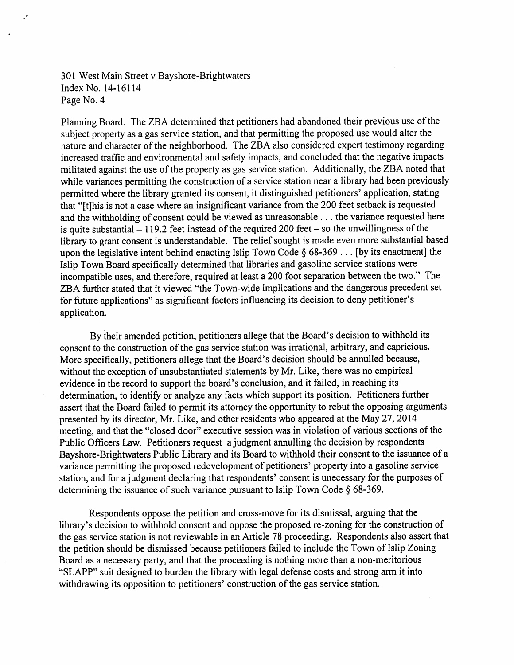Planning Board. The ZBA determined that petitioners had abandoned their previous use of the subject property as a gas service station, and that permitting the proposed use would alter the nature and character of the neighborhood. The ZBA also considered expert testimony regarding increased traffic and environmental and safety impacts, and concluded that the negative impacts militated against the use of the property as gas service station. Additionally, the ZBA noted that while variances permitting the construction of a service station near a library had been previously permitted where the library granted its consent, it distinguished petitioners' application, stating that "[t]his is not a case where an insignificant variance from the 200 feet setback is requested and the withholding of consent could be viewed as unreasonable ... the variance requested here is quite substantial  $-119.2$  feet instead of the required 200 feet - so the unwillingness of the library to grant consent is understandable. The relief sought is made even more substantial based upon the legislative intent behind enacting Islip Town Code  $\S 68-369...$  [by its enactment] the Islip Town Board specifically determined that libraries and gasoline service stations were incompatible uses, and therefore, required at least a 200 foot separation between the two." The ZBA further stated that it viewed "the Town-wide implications and the dangerous precedent set for future applications" as significant factors influencing its decision to deny petitioner's application.

By their amended petition, petitioners allege that the Board's decision to withhold its consent to the construction of the gas service station was irrational, arbitrary, and capricious. More specifically, petitioners allege that the Board's decision should be annulled because, without the exception of unsubstantiated statements by Mr. Like, there was no empirical evidence in the record to support the board's conclusion, and it failed, in reaching its determination, to identify or analyze any facts which support its position. Petitioners further assert that the Board failed to permit its attorney the opportunity to rebut the opposing arguments presented by its director, Mr. Like, and other residents who appeared at the May 27, 2014 meeting, and that the "closed door" executive session was in violation of various sections of the Public Officers Law. Petitioners request a judgment annulling the decision by respondents Bayshore-Brightwaters Public Library and its Board to withhold their consent to the issuance of a variance permitting the proposed redevelopment of petitioners' property into a gasoline service station, and for a judgment declaring that respondents' consent is unecessary for the purposes of determining the issuance of such variance pursuant to Islip Town Code  $\S$  68-369.

Respondents oppose the petition and cross-move for its dismissal, arguing that the library's decision to withhold consent and oppose the proposed re-zoning for the construction of the gas service station is not reviewable in an Article 78 proceeding. Respondents also assert that the petition should be dismissed because petitioners failed to include the Town of Islip Zoning Board as a necessary party, and that the proceeding is nothing more than a non-meritorious "SLAPP" suit designed to burden the library with legal defense costs and strong arm it into withdrawing its opposition to petitioners' construction of the gas service station.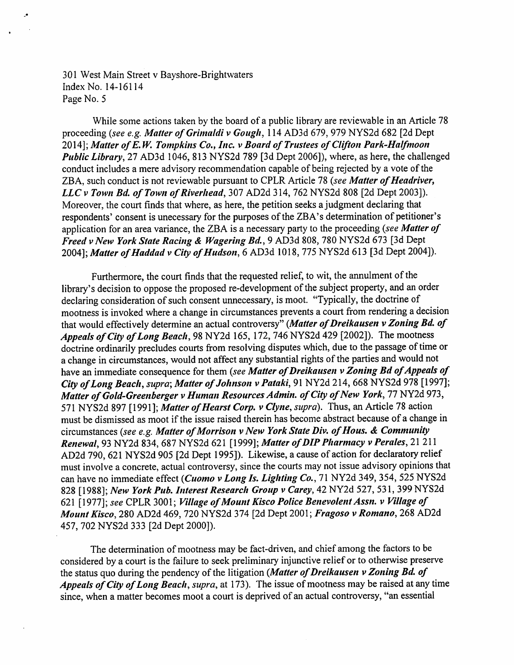While some actions taken by the board of a public library are reviewable in an Article 78 proceeding (see e.g. Matter of Grimaldi v Gough, 114 AD3d 679, 979 NYS2d 682 [2d Dept 2014]; Matter of E.W. Tompkins Co., Inc. v Board of Trustees of Clifton Park-Halfmoon Public Library, 27 AD3d 1046, 813 NYS2d 789 [3d Dept 2006]), where, as here, the challenged conduct includes a mere advisory recommendation capable of being rejected by a vote of the ZBA, such conduct is not reviewable pursuant to CPLR Article 78 (see Matter of Headriver, LLC v Town Bd. of Town of Riverhead, 307 AD2d 314, 762 NYS2d 808 [2d Dept 2003]). Moreover, the court finds that where, as here, the petition seeks a judgment declaring that respondents' consent is unecessary for the purposes of the ZBA's determination of petitioner's application for an area variance, the ZBA is a necessary party to the proceeding (see Matter of Freed v New York State Racing & Wagering Bd., 9 AD3d 808, 780 NYS2d 673 [3d Dept 2004]; Matter of Haddad v City of Hudson, 6 AD3d 1018, 775 NYS2d 613 [3d Dept 2004]).

Furthermore, the court finds that the requested relief, to wit, the annulment of the library's decision to oppose the proposed re-development of the subject property, and an order declaring consideration of such consent unnecessary, is moot. "Typically, the doctrine of mootness is invoked where a change in circumstances prevents a court from rendering a decision that would effectively determine an actual controversy" (Matter of Dreikausen v Zoning Bd. of Appeals of City of Long Beach, 98 NY2d 165, 172, 746 NYS2d 429 [2002]). The mootness doctrine ordinarily precludes courts from resolving disputes which, due to the passage of time or a change in circumstances, would not affect any substantial rights of the parties and would not have an immediate consequence for them (see Matter of Dreikausen v Zoning Bd of Appeals of City of Long Beach, supra; Matter of Johnson v Pataki, 91 NY2d 214, 668 NYS2d 978 [1997]; Matter of Gold-Greenberger v Human Resources Admin. of City of New York, 77 NY2d 973, 571 NYS2d 897 [1991]; Matter of Hearst Corp. v Clyne, supra). Thus, an Article 78 action must be dismissed as moot if the issue raised therein has become abstract because of a change in circumstances (see e.g. Matter of Morrison v New York State Div. of Hous. & Community Renewal, 93 NY2d 834, 687 NYS2d 621 [1999]; Matter of DIP Pharmacy v Perales, 21 211 AD2d 790, 621 NYS2d 905 [2d Dept 1995]). Likewise, a cause of action for declaratory relief must involvea concrete, actual controversy, since the courts maynot issue advisoryopinions that can have no immediate effect (*Cuomo v Long Is. Lighting Co.*, 71 NY2d 349, 354, 525 NYS2d 828 [1988]; New York Pub. Interest Research Group v Carey, 42 NY2d 527, 531, 399 NYS2d 621 [1977]; see CPLR 3001; Village of Mount Kisco Police Benevolent Assn. v Village of Mount Kisco, 280 AD2d 469, 720 NYS2d 374 [2d Dept 2001; Fragoso v Romano, 268 AD2d 457, 702 NYS2d 333 [2d Dept 2000]).

The determination of mootness may be fact-driven, and chief among the factors to be considered by a court is the failure to seek preliminary injunctive relief or to otherwise preserve the status quo during the pendency of the litigation (Matter of Dreikausen v Zoning Bd. of Appeals of City of Long Beach, supra, at 173). The issue of mootness may be raised at any time since, when a matter becomes moot a court is deprived of an actual controversy, "an essential